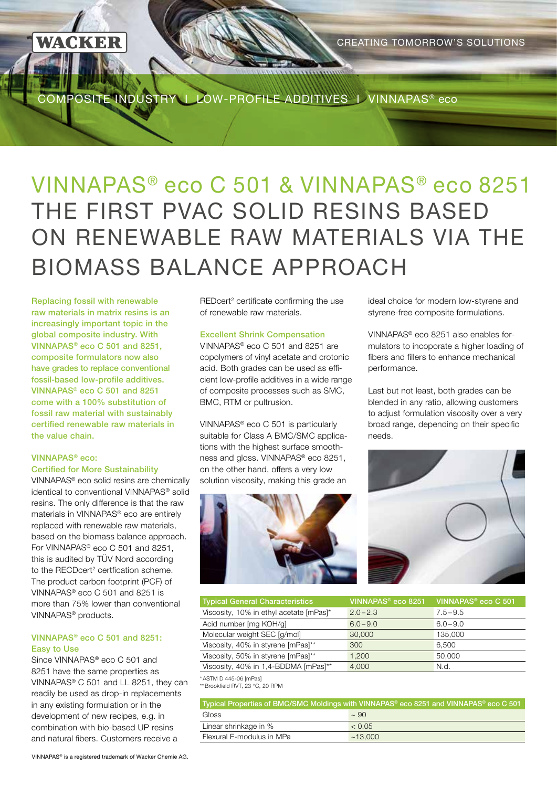COMPOSITE INDUSTRY I LOW-PROFILE ADDITIVES I VINNAPAS® eco

# VINNAPAS® eco C 501 & VINNAPAS® eco 8251 THE FIRST PVAC SOLID RESINS BASED ON RENEWABLE RAW MATERIALS VIA THE BIOMASS BALANCE APPROACH

Replacing fossil with renewable raw materials in matrix resins is an increasingly important topic in the global composite industry. With VINNAPAS® eco C 501 and 8251, composite formulators now also have grades to replace conventional fossil-based low-profile additives. VINNAPAS® eco C 501 and 8251 come with a 100% substitution of fossil raw material with sustainably certified renewable raw materials in the value chain.

KER

### VINNAPAS® eco: Certified for More Sustainability

VINNAPAS® eco solid resins are chemically identical to conventional VINNAPAS® solid resins. The only difference is that the raw materials in VINNAPAS® eco are entirely replaced with renewable raw materials, based on the biomass balance approach. For VINNAPAS® eco C 501 and 8251, this is audited by TÜV Nord according to the RECDcert<sup>2</sup> certfication scheme. The product carbon footprint (PCF) of VINNAPAS® eco C 501 and 8251 is more than 75% lower than conventional VINNAPAS® products.

### VINNAPAS® eco C 501 and 8251: Easy to Use

Since VINNAPAS<sup>®</sup> eco C 501 and 8251 have the same properties as VINNAPAS® C 501 and LL 8251, they can readily be used as drop-in replacements in any existing formulation or in the development of new recipes, e.g. in combination with bio-based UP resins and natural fibers. Customers receive a

REDcert<sup>2</sup> certificate confirming the use of renewable raw materials.

## Excellent Shrink Compensation

VINNAPAS® eco C 501 and 8251 are copolymers of vinyl acetate and crotonic acid. Both grades can be used as efficient low-profile additives in a wide range of composite processes such as SMC, BMC, RTM or pultrusion.

VINNAPAS® eco C 501 is particularly suitable for Class A BMC/SMC applications with the highest surface smoothness and gloss. VINNAPAS® eco 8251, on the other hand, offers a very low solution viscosity, making this grade an



ideal choice for modern low-styrene and styrene-free composite formulations.

VINNAPAS® eco 8251 also enables formulators to incoporate a higher loading of fibers and fillers to enhance mechanical performance.

Last but not least, both grades can be blended in any ratio, allowing customers to adjust formulation viscosity over a very broad range, depending on their specific needs.



| <b>Typical General Characteristics</b>  | VINNAPAS <sup>®</sup> eco 8251 | VINNAPAS <sup>®</sup> eco C 501 |
|-----------------------------------------|--------------------------------|---------------------------------|
| Viscosity, 10% in ethyl acetate [mPas]* | $2.0 - 2.3$                    | $7.5 - 9.5$                     |
| Acid number [mg KOH/g]                  | $6.0 - 9.0$                    | $6.0 - 9.0$                     |
| Molecular weight SEC [g/mol]            | 30,000                         | 135.000                         |
| Viscosity, 40% in styrene [mPas]**      | 300                            | 6.500                           |
| Viscosity, 50% in styrene [mPas]**      | 1.200                          | 50,000                          |
| Viscosity, 40% in 1,4-BDDMA [mPas]**    | 4.000                          | N.d.                            |

\*ASTM D 445-06 [mPas] \*\*Brookfield RVT, 23 °C, 20 RPM

| Typical Properties of BMC/SMC Moldings with VINNAPAS <sup>®</sup> eco 8251 and VINNAPAS <sup>®</sup> eco C 501 |             |  |
|----------------------------------------------------------------------------------------------------------------|-------------|--|
| Gloss                                                                                                          | $\sim$ 90   |  |
| Linear shrinkage in %                                                                                          | $\leq 0.05$ |  |
| Flexural E-modulus in MPa                                                                                      | ~13.000     |  |